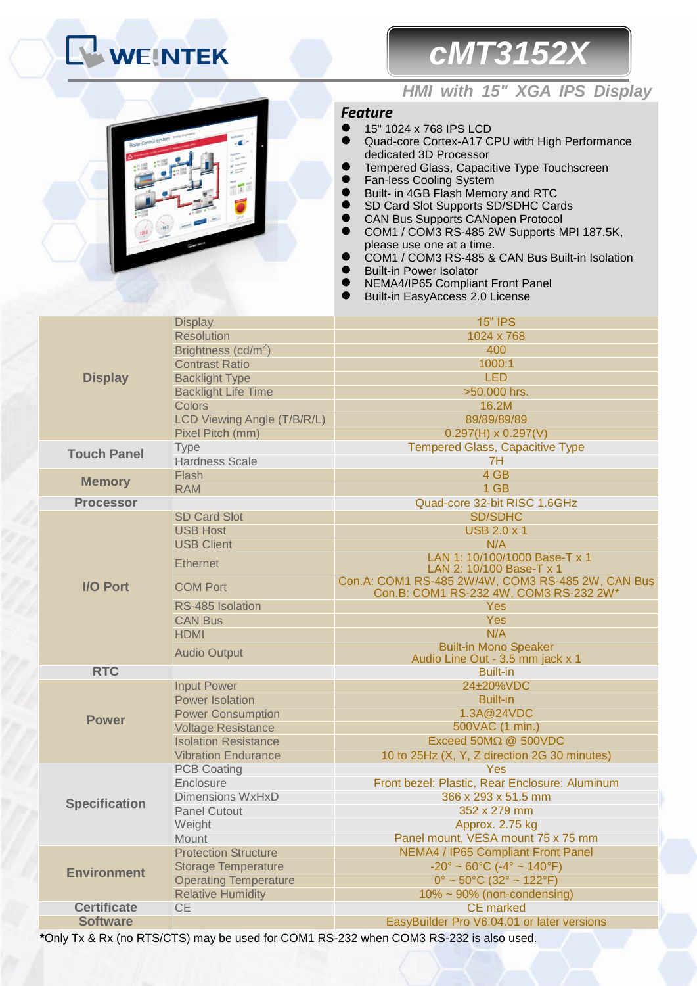# **WEINTEK**

## *cMT3152X*



### *HMI with 15" XGA IPS Display*

#### *Feature*

- **15" 1024 x 768 IPS LCD**
- Quad-core Cortex-A17 CPU with High Performance dedicated 3D Processor
- Tempered Glass, Capacitive Type Touchscreen
- **The Fan-less Cooling System**<br>**A** Built- in 4GB Flash Mome
- Built- in 4GB Flash Memory and RTC
- SD Card Slot Supports SD/SDHC Cards<br>● CAN Bus Supports CANopen Protocol
- CAN Bus Supports CANopen Protocol<br>● COM1 / COM3 RS-485 2W Supports M
- COM1 / COM3 RS-485 2W Supports MPI 187.5K, please use one at a time.
- COM1 / COM3 RS-485 & CAN Bus Built-in Isolation
- Built-in Power Isolator
- **NEMA4/IP65 Compliant Front Panel**
- Built-in EasyAccess 2.0 License

|                      | <b>Display</b>                                            | <b>15" IPS</b>                                                                              |  |  |
|----------------------|-----------------------------------------------------------|---------------------------------------------------------------------------------------------|--|--|
|                      | <b>Resolution</b>                                         | 1024 x 768                                                                                  |  |  |
|                      | Brightness (cd/m <sup>2</sup> )                           | 400                                                                                         |  |  |
|                      | <b>Contrast Ratio</b>                                     | 1000:1                                                                                      |  |  |
| <b>Display</b>       | <b>Backlight Type</b>                                     | <b>LED</b>                                                                                  |  |  |
|                      | <b>Backlight Life Time</b>                                | >50,000 hrs.                                                                                |  |  |
|                      | <b>Colors</b>                                             | 16.2M                                                                                       |  |  |
|                      | LCD Viewing Angle (T/B/R/L)                               | 89/89/89/89                                                                                 |  |  |
|                      | Pixel Pitch (mm)                                          | $0.297(H) \times 0.297(V)$                                                                  |  |  |
| <b>Touch Panel</b>   | Type                                                      | <b>Tempered Glass, Capacitive Type</b>                                                      |  |  |
|                      | <b>Hardness Scale</b>                                     | 7H                                                                                          |  |  |
| <b>Memory</b>        | Flash                                                     | 4 GB                                                                                        |  |  |
|                      | <b>RAM</b>                                                | 1 GB                                                                                        |  |  |
| <b>Processor</b>     |                                                           | Quad-core 32-bit RISC 1.6GHz                                                                |  |  |
|                      | <b>SD Card Slot</b>                                       | <b>SD/SDHC</b>                                                                              |  |  |
|                      | <b>USB Host</b>                                           | <b>USB 2.0 x 1</b>                                                                          |  |  |
|                      | <b>USB Client</b>                                         | N/A                                                                                         |  |  |
|                      | <b>Ethernet</b>                                           | LAN 1: 10/100/1000 Base-T x 1                                                               |  |  |
|                      |                                                           | LAN 2: 10/100 Base-T x 1                                                                    |  |  |
| <b>I/O Port</b>      | <b>COM Port</b>                                           | Con.A: COM1 RS-485 2W/4W, COM3 RS-485 2W, CAN Bus<br>Con.B: COM1 RS-232 4W, COM3 RS-232 2W* |  |  |
|                      | RS-485 Isolation                                          | <b>Yes</b>                                                                                  |  |  |
|                      | <b>CAN Bus</b>                                            | <b>Yes</b>                                                                                  |  |  |
|                      | <b>HDMI</b>                                               | N/A                                                                                         |  |  |
|                      | <b>Audio Output</b>                                       | <b>Built-in Mono Speaker</b>                                                                |  |  |
|                      |                                                           | Audio Line Out - 3.5 mm jack x 1                                                            |  |  |
| <b>RTC</b>           |                                                           | <b>Built-in</b>                                                                             |  |  |
|                      | <b>Input Power</b>                                        | 24±20%VDC                                                                                   |  |  |
|                      | <b>Power Isolation</b>                                    | <b>Built-in</b>                                                                             |  |  |
| <b>Power</b>         | <b>Power Consumption</b>                                  | 1.3A@24VDC                                                                                  |  |  |
|                      | <b>Voltage Resistance</b>                                 | 500VAC (1 min.)<br>Exceed $50M\Omega$ @ $500VDC$                                            |  |  |
|                      | <b>Isolation Resistance</b><br><b>Vibration Endurance</b> | 10 to 25Hz (X, Y, Z direction 2G 30 minutes)                                                |  |  |
|                      | <b>PCB Coating</b>                                        | Yes                                                                                         |  |  |
|                      | Enclosure                                                 | Front bezel: Plastic, Rear Enclosure: Aluminum                                              |  |  |
|                      | <b>Dimensions WxHxD</b>                                   | 366 x 293 x 51.5 mm                                                                         |  |  |
| <b>Specification</b> | <b>Panel Cutout</b>                                       | 352 x 279 mm                                                                                |  |  |
|                      | Weight                                                    | Approx. 2.75 kg                                                                             |  |  |
|                      | Mount                                                     | Panel mount, VESA mount 75 x 75 mm                                                          |  |  |
|                      | <b>Protection Structure</b>                               | NEMA4 / IP65 Compliant Front Panel                                                          |  |  |
|                      | <b>Storage Temperature</b>                                | $-20^{\circ} \sim 60^{\circ}$ C ( $-4^{\circ} \sim 140^{\circ}$ F)                          |  |  |
| <b>Environment</b>   | <b>Operating Temperature</b>                              | $0^{\circ}$ ~ 50 $^{\circ}$ C (32 $^{\circ}$ ~ 122 $^{\circ}$ F)                            |  |  |
|                      | <b>Relative Humidity</b>                                  | $10\% \sim 90\%$ (non-condensing)                                                           |  |  |
| <b>Certificate</b>   | <b>CE</b>                                                 | <b>CE</b> marked                                                                            |  |  |
| <b>Software</b>      |                                                           | EasyBuilder Pro V6.04.01 or later versions                                                  |  |  |
|                      |                                                           |                                                                                             |  |  |

**\***Only Tx & Rx (no RTS/CTS) may be used for COM1 RS-232 when COM3 RS-232 is also used.